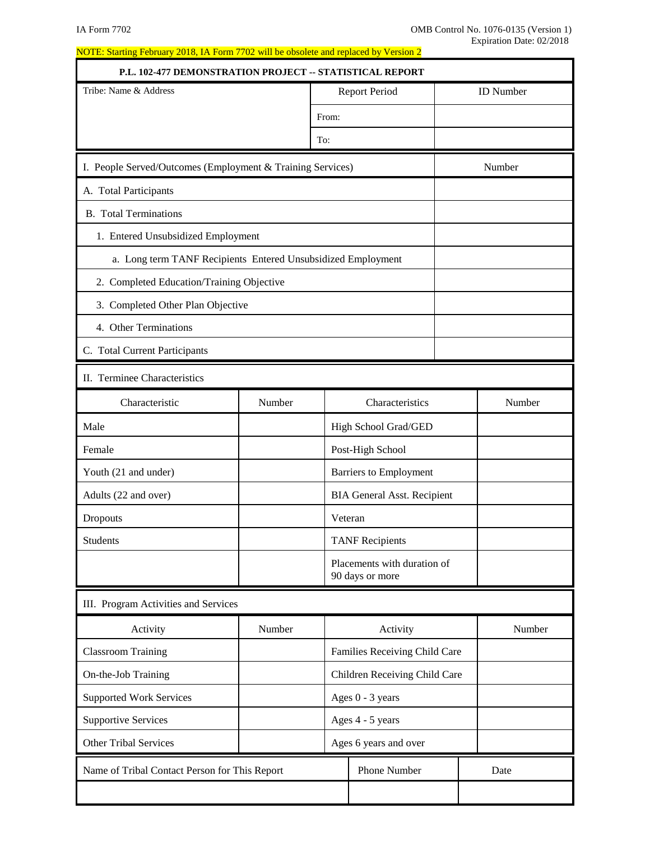| P.L. 102-477 DEMONSTRATION PROJECT -- STATISTICAL REPORT     |        |       |                                                |                  |
|--------------------------------------------------------------|--------|-------|------------------------------------------------|------------------|
| Tribe: Name & Address                                        |        |       | <b>Report Period</b>                           | <b>ID</b> Number |
|                                                              |        | From: |                                                |                  |
|                                                              |        | To:   |                                                |                  |
| I. People Served/Outcomes (Employment & Training Services)   |        |       |                                                | Number           |
| A. Total Participants                                        |        |       |                                                |                  |
| <b>B.</b> Total Terminations                                 |        |       |                                                |                  |
| 1. Entered Unsubsidized Employment                           |        |       |                                                |                  |
| a. Long term TANF Recipients Entered Unsubsidized Employment |        |       |                                                |                  |
| 2. Completed Education/Training Objective                    |        |       |                                                |                  |
| 3. Completed Other Plan Objective                            |        |       |                                                |                  |
| 4. Other Terminations                                        |        |       |                                                |                  |
| C. Total Current Participants                                |        |       |                                                |                  |
| II. Terminee Characteristics                                 |        |       |                                                |                  |
| Characteristic                                               | Number |       | Characteristics                                | Number           |
| Male                                                         |        |       | High School Grad/GED                           |                  |
| Female                                                       |        |       | Post-High School                               |                  |
| Youth (21 and under)                                         |        |       | <b>Barriers to Employment</b>                  |                  |
| Adults (22 and over)                                         |        |       | <b>BIA General Asst. Recipient</b>             |                  |
| Dropouts                                                     |        |       | Veteran                                        |                  |
| <b>Students</b>                                              |        |       | <b>TANF Recipients</b>                         |                  |
|                                                              |        |       | Placements with duration of<br>90 days or more |                  |
| III. Program Activities and Services                         |        |       |                                                |                  |
| Activity                                                     | Number |       | Activity                                       | Number           |
| <b>Classroom Training</b>                                    |        |       | Families Receiving Child Care                  |                  |
| On-the-Job Training                                          |        |       | Children Receiving Child Care                  |                  |
| <b>Supported Work Services</b>                               |        |       | Ages 0 - 3 years                               |                  |
| <b>Supportive Services</b>                                   |        |       | Ages 4 - 5 years                               |                  |
| <b>Other Tribal Services</b>                                 |        |       | Ages 6 years and over                          |                  |
| Name of Tribal Contact Person for This Report                |        |       | Phone Number                                   | Date             |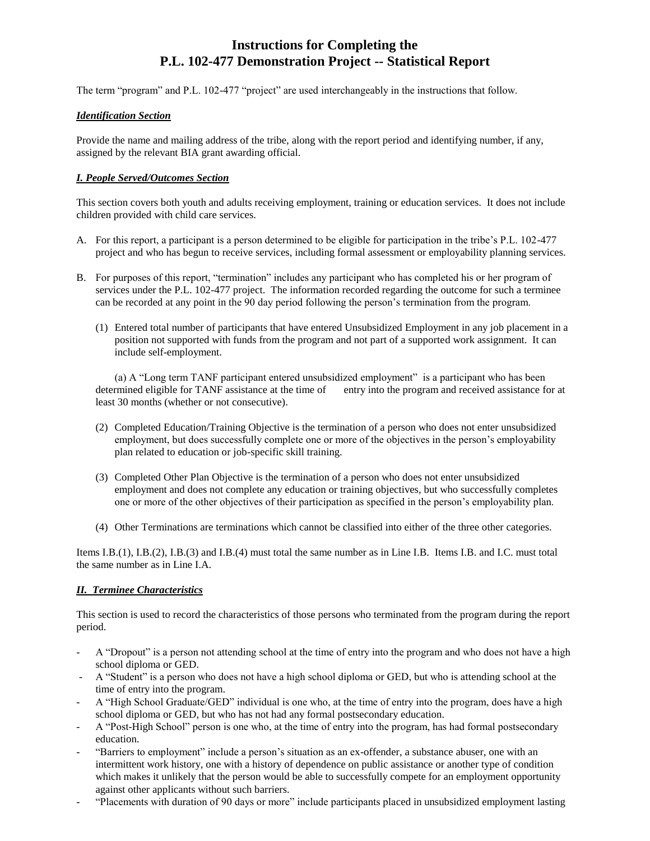# **Instructions for Completing the P.L. 102-477 Demonstration Project -- Statistical Report**

The term "program" and P.L. 102-477 "project" are used interchangeably in the instructions that follow.

### *Identification Section*

Provide the name and mailing address of the tribe, along with the report period and identifying number, if any, assigned by the relevant BIA grant awarding official.

### *I. People Served/Outcomes Section*

This section covers both youth and adults receiving employment, training or education services. It does not include children provided with child care services.

- A. For this report, a participant is a person determined to be eligible for participation in the tribe's P.L. 102-477 project and who has begun to receive services, including formal assessment or employability planning services.
- B. For purposes of this report, "termination" includes any participant who has completed his or her program of services under the P.L. 102-477 project. The information recorded regarding the outcome for such a terminee can be recorded at any point in the 90 day period following the person's termination from the program.
	- (1) Entered total number of participants that have entered Unsubsidized Employment in any job placement in a position not supported with funds from the program and not part of a supported work assignment. It can include self-employment.

(a) A "Long term TANF participant entered unsubsidized employment" is a participant who has been determined eligible for TANF assistance at the time of entry into the program and received assistance for at least 30 months (whether or not consecutive).

- (2) Completed Education/Training Objective is the termination of a person who does not enter unsubsidized employment, but does successfully complete one or more of the objectives in the person's employability plan related to education or job-specific skill training.
- (3) Completed Other Plan Objective is the termination of a person who does not enter unsubsidized employment and does not complete any education or training objectives, but who successfully completes one or more of the other objectives of their participation as specified in the person's employability plan.
- (4) Other Terminations are terminations which cannot be classified into either of the three other categories.

Items I.B.(1), I.B.(2), I.B.(3) and I.B.(4) must total the same number as in Line I.B. Items I.B. and I.C. must total the same number as in Line I.A.

## *II. Terminee Characteristics*

This section is used to record the characteristics of those persons who terminated from the program during the report period.

- A "Dropout" is a person not attending school at the time of entry into the program and who does not have a high school diploma or GED.
- A "Student" is a person who does not have a high school diploma or GED, but who is attending school at the time of entry into the program.
- A "High School Graduate/GED" individual is one who, at the time of entry into the program, does have a high school diploma or GED, but who has not had any formal postsecondary education.
- A "Post-High School" person is one who, at the time of entry into the program, has had formal postsecondary education.
- "Barriers to employment" include a person's situation as an ex-offender, a substance abuser, one with an intermittent work history, one with a history of dependence on public assistance or another type of condition which makes it unlikely that the person would be able to successfully compete for an employment opportunity against other applicants without such barriers.
- "Placements with duration of 90 days or more" include participants placed in unsubsidized employment lasting